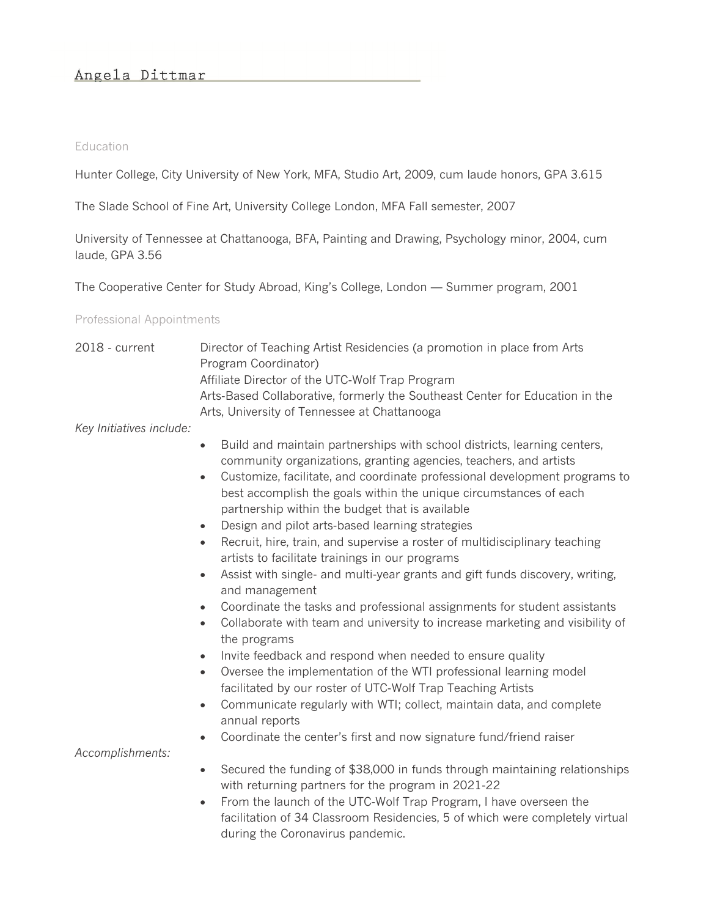#### **Education**

Hunter College, City University of New York, MFA, Studio Art, 2009, cum laude honors, GPA 3.615

The Slade School of Fine Art, University College London, MFA Fall semester, 2007

University of Tennessee at Chattanooga, BFA, Painting and Drawing, Psychology minor, 2004, cum laude, GPA 3.56

The Cooperative Center for Study Abroad, King's College, London — Summer program, 2001

Professional Appointments

| 2018 - current           | Director of Teaching Artist Residencies (a promotion in place from Arts                                                                                                                                         |
|--------------------------|-----------------------------------------------------------------------------------------------------------------------------------------------------------------------------------------------------------------|
|                          | Program Coordinator)                                                                                                                                                                                            |
|                          | Affiliate Director of the UTC-Wolf Trap Program                                                                                                                                                                 |
|                          | Arts-Based Collaborative, formerly the Southeast Center for Education in the                                                                                                                                    |
|                          | Arts, University of Tennessee at Chattanooga                                                                                                                                                                    |
| Key Initiatives include: |                                                                                                                                                                                                                 |
|                          | Build and maintain partnerships with school districts, learning centers,<br>$\bullet$<br>community organizations, granting agencies, teachers, and artists                                                      |
|                          | Customize, facilitate, and coordinate professional development programs to<br>$\bullet$<br>best accomplish the goals within the unique circumstances of each<br>partnership within the budget that is available |
|                          | Design and pilot arts-based learning strategies<br>$\bullet$                                                                                                                                                    |
|                          | Recruit, hire, train, and supervise a roster of multidisciplinary teaching<br>$\bullet$<br>artists to facilitate trainings in our programs                                                                      |
|                          | Assist with single- and multi-year grants and gift funds discovery, writing,<br>$\bullet$<br>and management                                                                                                     |
|                          | Coordinate the tasks and professional assignments for student assistants<br>$\bullet$                                                                                                                           |
|                          | Collaborate with team and university to increase marketing and visibility of<br>$\bullet$                                                                                                                       |
|                          | the programs                                                                                                                                                                                                    |
|                          | Invite feedback and respond when needed to ensure quality<br>$\bullet$                                                                                                                                          |
|                          | Oversee the implementation of the WTI professional learning model<br>$\bullet$<br>facilitated by our roster of UTC-Wolf Trap Teaching Artists                                                                   |
|                          | Communicate regularly with WTI; collect, maintain data, and complete<br>$\bullet$<br>annual reports                                                                                                             |
|                          | Coordinate the center's first and now signature fund/friend raiser<br>$\bullet$                                                                                                                                 |
| Accomplishments:         |                                                                                                                                                                                                                 |
|                          | Secured the funding of \$38,000 in funds through maintaining relationships<br>$\bullet$<br>with returning partners for the program in 2021-22                                                                   |
|                          | From the launch of the UTC-Wolf Trap Program, I have overseen the<br>$\bullet$<br>facilitation of 34 Classroom Residencies, 5 of which were completely virtual<br>during the Coronavirus pandemic.              |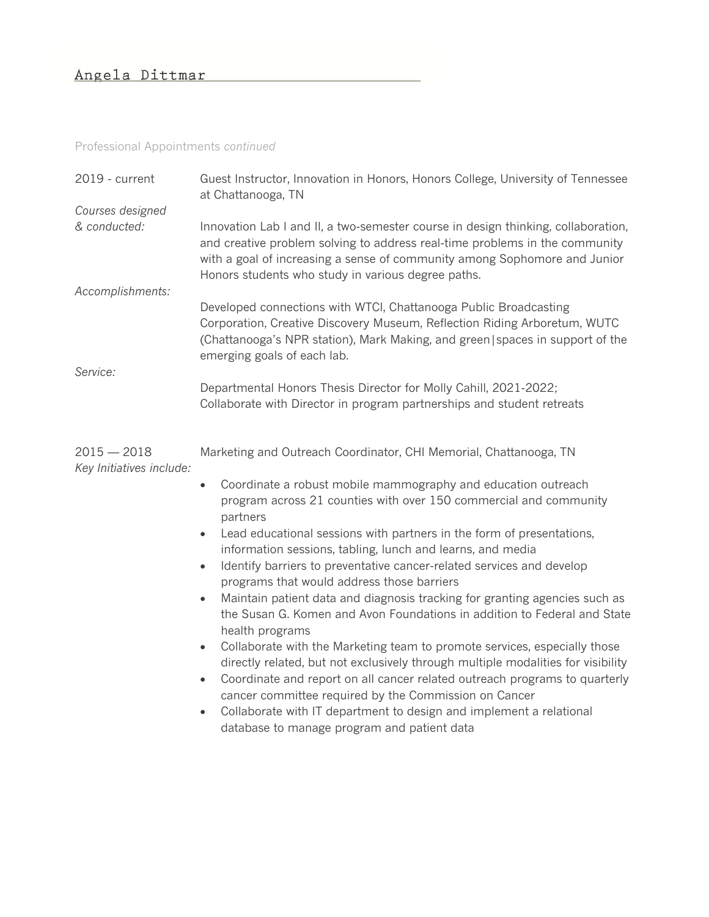## Professional Appointments *continued*

| 2019 - current                            | Guest Instructor, Innovation in Honors, Honors College, University of Tennessee<br>at Chattanooga, TN                                                                                                                                                                                               |  |
|-------------------------------------------|-----------------------------------------------------------------------------------------------------------------------------------------------------------------------------------------------------------------------------------------------------------------------------------------------------|--|
| Courses designed                          |                                                                                                                                                                                                                                                                                                     |  |
| & conducted:                              | Innovation Lab I and II, a two-semester course in design thinking, collaboration,<br>and creative problem solving to address real-time problems in the community<br>with a goal of increasing a sense of community among Sophomore and Junior<br>Honors students who study in various degree paths. |  |
| Accomplishments:                          |                                                                                                                                                                                                                                                                                                     |  |
|                                           | Developed connections with WTCI, Chattanooga Public Broadcasting<br>Corporation, Creative Discovery Museum, Reflection Riding Arboretum, WUTC<br>(Chattanooga's NPR station), Mark Making, and green   spaces in support of the<br>emerging goals of each lab.                                      |  |
| Service:                                  |                                                                                                                                                                                                                                                                                                     |  |
|                                           | Departmental Honors Thesis Director for Molly Cahill, 2021-2022;<br>Collaborate with Director in program partnerships and student retreats                                                                                                                                                          |  |
| $2015 - 2018$<br>Key Initiatives include: | Marketing and Outreach Coordinator, CHI Memorial, Chattanooga, TN                                                                                                                                                                                                                                   |  |
|                                           | Coordinate a robust mobile mammography and education outreach<br>$\bullet$<br>program across 21 counties with over 150 commercial and community<br>partners                                                                                                                                         |  |
|                                           | Lead educational sessions with partners in the form of presentations,<br>$\bullet$<br>information sessions, tabling, lunch and learns, and media                                                                                                                                                    |  |
|                                           | Identify barriers to preventative cancer-related services and develop<br>$\bullet$<br>programs that would address those barriers                                                                                                                                                                    |  |
|                                           | Maintain patient data and diagnosis tracking for granting agencies such as<br>$\bullet$<br>the Susan G. Komen and Avon Foundations in addition to Federal and State<br>health programs                                                                                                              |  |
|                                           | Collaborate with the Marketing team to promote services, especially those<br>$\bullet$<br>directly related, but not exclusively through multiple modalities for visibility                                                                                                                          |  |
|                                           | Coordinate and report on all cancer related outreach programs to quarterly<br>$\bullet$<br>cancer committee required by the Commission on Cancer                                                                                                                                                    |  |
|                                           | Collaborate with IT department to design and implement a relational<br>database to manage program and patient data                                                                                                                                                                                  |  |
|                                           |                                                                                                                                                                                                                                                                                                     |  |
|                                           |                                                                                                                                                                                                                                                                                                     |  |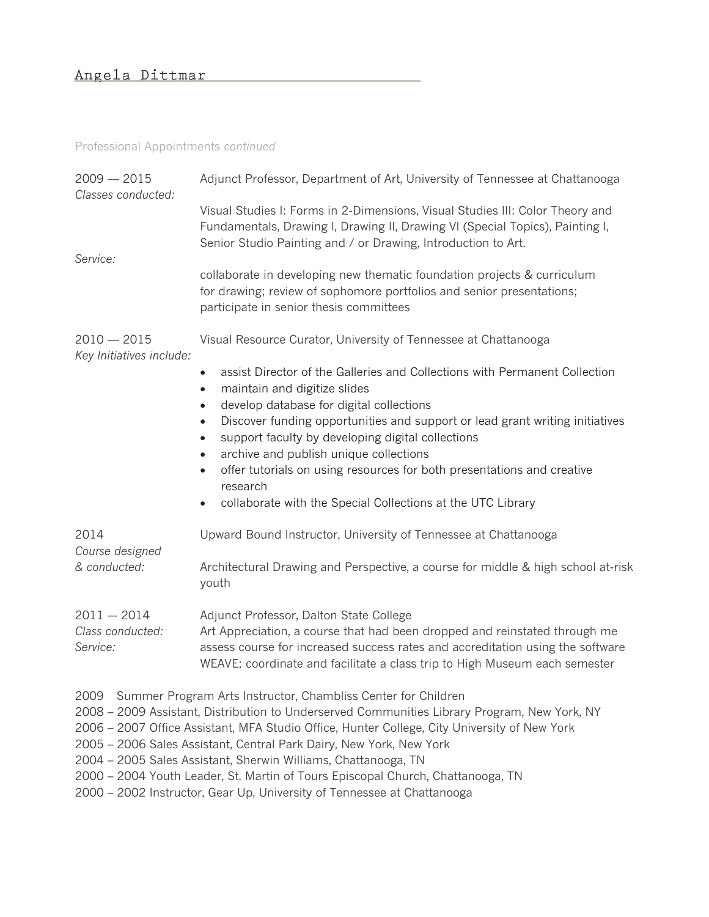#### Professional Appointments *continued*

| $2009 - 2015$<br>Classes conducted:           | Adjunct Professor, Department of Art, University of Tennessee at Chattanooga                                                                                                                                                                                                          |
|-----------------------------------------------|---------------------------------------------------------------------------------------------------------------------------------------------------------------------------------------------------------------------------------------------------------------------------------------|
|                                               | Visual Studies I: Forms in 2-Dimensions, Visual Studies III: Color Theory and<br>Fundamentals, Drawing I, Drawing II, Drawing VI (Special Topics), Painting I,<br>Senior Studio Painting and / or Drawing, Introduction to Art.                                                       |
| Service:                                      | collaborate in developing new thematic foundation projects & curriculum<br>for drawing; review of sophomore portfolios and senior presentations;<br>participate in senior thesis committees                                                                                           |
| $2010 - 2015$<br>Key Initiatives include:     | Visual Resource Curator, University of Tennessee at Chattanooga                                                                                                                                                                                                                       |
|                                               | assist Director of the Galleries and Collections with Permanent Collection<br>$\bullet$<br>maintain and digitize slides<br>$\bullet$<br>develop database for digital collections<br>$\bullet$                                                                                         |
|                                               | Discover funding opportunities and support or lead grant writing initiatives<br>$\bullet$<br>support faculty by developing digital collections<br>$\bullet$<br>archive and publish unique collections<br>$\bullet$                                                                    |
|                                               | offer tutorials on using resources for both presentations and creative<br>$\bullet$<br>research                                                                                                                                                                                       |
|                                               | collaborate with the Special Collections at the UTC Library<br>$\bullet$                                                                                                                                                                                                              |
| 2014<br>Course designed<br>& conducted:       | Upward Bound Instructor, University of Tennessee at Chattanooga                                                                                                                                                                                                                       |
|                                               | Architectural Drawing and Perspective, a course for middle & high school at-risk<br>youth                                                                                                                                                                                             |
| $2011 - 2014$<br>Class conducted:<br>Service: | Adjunct Professor, Dalton State College<br>Art Appreciation, a course that had been dropped and reinstated through me<br>assess course for increased success rates and accreditation using the software<br>WEAVE; coordinate and facilitate a class trip to High Museum each semester |

- 2009 Summer Program Arts Instructor, Chambliss Center for Children
- 2008 2009 Assistant, Distribution to Underserved Communities Library Program, New York, NY
- 2006 2007 Office Assistant, MFA Studio Office, Hunter College, City University of New York
- 2005 2006 Sales Assistant, Central Park Dairy, New York, New York
- 2004 2005 Sales Assistant, Sherwin Williams, Chattanooga, TN
- 2000 2004 Youth Leader, St. Martin of Tours Episcopal Church, Chattanooga, TN
- 2000 2002 Instructor, Gear Up, University of Tennessee at Chattanooga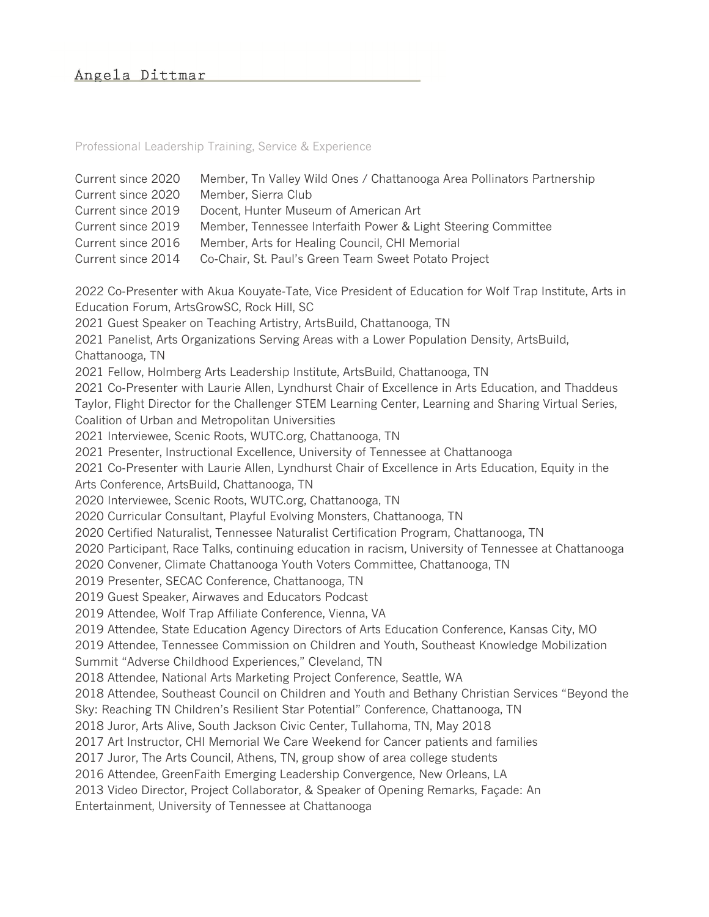Professional Leadership Training, Service & Experience

| Current since 2020<br>Current since 2020<br>Current since 2019<br>Current since 2019<br>Current since 2016<br>Current since 2014 | Member, Tn Valley Wild Ones / Chattanooga Area Pollinators Partnership<br>Member, Sierra Club<br>Docent, Hunter Museum of American Art<br>Member, Tennessee Interfaith Power & Light Steering Committee<br>Member, Arts for Healing Council, CHI Memorial<br>Co-Chair, St. Paul's Green Team Sweet Potato Project                                                                                                                                                                                                                                                                                                                                                                                                                                                                                                                                                                                                                                                                                                                                                                                                                                                                                                                                                                                                                                                                                                                                                                                                                                                                                                                                                                                                                                                                                                                                                                                                                                                                                                                                                                                                                                                                                                                                                                                                                                                                                                                                                                           |
|----------------------------------------------------------------------------------------------------------------------------------|---------------------------------------------------------------------------------------------------------------------------------------------------------------------------------------------------------------------------------------------------------------------------------------------------------------------------------------------------------------------------------------------------------------------------------------------------------------------------------------------------------------------------------------------------------------------------------------------------------------------------------------------------------------------------------------------------------------------------------------------------------------------------------------------------------------------------------------------------------------------------------------------------------------------------------------------------------------------------------------------------------------------------------------------------------------------------------------------------------------------------------------------------------------------------------------------------------------------------------------------------------------------------------------------------------------------------------------------------------------------------------------------------------------------------------------------------------------------------------------------------------------------------------------------------------------------------------------------------------------------------------------------------------------------------------------------------------------------------------------------------------------------------------------------------------------------------------------------------------------------------------------------------------------------------------------------------------------------------------------------------------------------------------------------------------------------------------------------------------------------------------------------------------------------------------------------------------------------------------------------------------------------------------------------------------------------------------------------------------------------------------------------------------------------------------------------------------------------------------------------|
| Chattanooga, TN<br>Arts Conference, ArtsBuild, Chattanooga, TN                                                                   | 2022 Co-Presenter with Akua Kouyate-Tate, Vice President of Education for Wolf Trap Institute, Arts in<br>Education Forum, ArtsGrowSC, Rock Hill, SC<br>2021 Guest Speaker on Teaching Artistry, ArtsBuild, Chattanooga, TN<br>2021 Panelist, Arts Organizations Serving Areas with a Lower Population Density, ArtsBuild,<br>2021 Fellow, Holmberg Arts Leadership Institute, ArtsBuild, Chattanooga, TN<br>2021 Co-Presenter with Laurie Allen, Lyndhurst Chair of Excellence in Arts Education, and Thaddeus<br>Taylor, Flight Director for the Challenger STEM Learning Center, Learning and Sharing Virtual Series,<br>Coalition of Urban and Metropolitan Universities<br>2021 Interviewee, Scenic Roots, WUTC.org, Chattanooga, TN<br>2021 Presenter, Instructional Excellence, University of Tennessee at Chattanooga<br>2021 Co-Presenter with Laurie Allen, Lyndhurst Chair of Excellence in Arts Education, Equity in the<br>2020 Interviewee, Scenic Roots, WUTC.org, Chattanooga, TN<br>2020 Curricular Consultant, Playful Evolving Monsters, Chattanooga, TN<br>2020 Certified Naturalist, Tennessee Naturalist Certification Program, Chattanooga, TN<br>2020 Participant, Race Talks, continuing education in racism, University of Tennessee at Chattanooga<br>2020 Convener, Climate Chattanooga Youth Voters Committee, Chattanooga, TN<br>2019 Presenter, SECAC Conference, Chattanooga, TN<br>2019 Guest Speaker, Airwaves and Educators Podcast<br>2019 Attendee, Wolf Trap Affiliate Conference, Vienna, VA<br>2019 Attendee, State Education Agency Directors of Arts Education Conference, Kansas City, MO<br>2019 Attendee, Tennessee Commission on Children and Youth, Southeast Knowledge Mobilization<br>Summit "Adverse Childhood Experiences," Cleveland, TN<br>2018 Attendee, National Arts Marketing Project Conference, Seattle, WA<br>2018 Attendee, Southeast Council on Children and Youth and Bethany Christian Services "Beyond the<br>Sky: Reaching TN Children's Resilient Star Potential" Conference, Chattanooga, TN<br>2018 Juror, Arts Alive, South Jackson Civic Center, Tullahoma, TN, May 2018<br>2017 Art Instructor, CHI Memorial We Care Weekend for Cancer patients and families<br>2017 Juror, The Arts Council, Athens, TN, group show of area college students<br>2016 Attendee, GreenFaith Emerging Leadership Convergence, New Orleans, LA<br>2013 Video Director, Project Collaborator, & Speaker of Opening Remarks, Façade: An |
|                                                                                                                                  | Entertainment, University of Tennessee at Chattanooga                                                                                                                                                                                                                                                                                                                                                                                                                                                                                                                                                                                                                                                                                                                                                                                                                                                                                                                                                                                                                                                                                                                                                                                                                                                                                                                                                                                                                                                                                                                                                                                                                                                                                                                                                                                                                                                                                                                                                                                                                                                                                                                                                                                                                                                                                                                                                                                                                                       |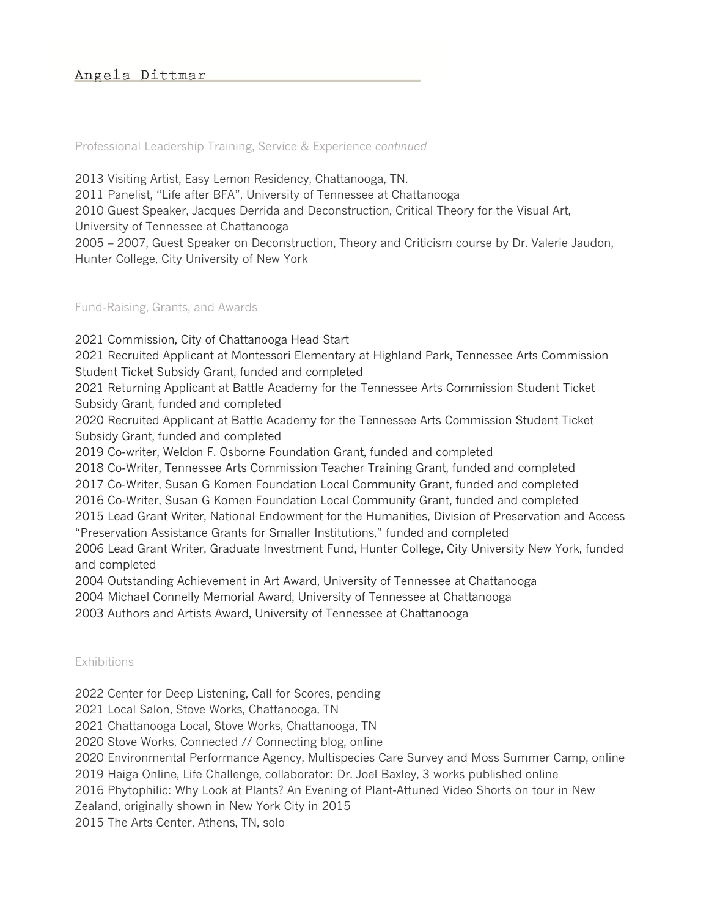Professional Leadership Training, Service & Experience *continued*

2013 Visiting Artist, Easy Lemon Residency, Chattanooga, TN.

2011 Panelist, "Life after BFA", University of Tennessee at Chattanooga

2010 Guest Speaker, Jacques Derrida and Deconstruction, Critical Theory for the Visual Art,

University of Tennessee at Chattanooga

2005 – 2007, Guest Speaker on Deconstruction, Theory and Criticism course by Dr. Valerie Jaudon, Hunter College, City University of New York

### Fund-Raising, Grants, and Awards

2021 Commission, City of Chattanooga Head Start 2021 Recruited Applicant at Montessori Elementary at Highland Park, Tennessee Arts Commission Student Ticket Subsidy Grant, funded and completed 2021 Returning Applicant at Battle Academy for the Tennessee Arts Commission Student Ticket Subsidy Grant, funded and completed 2020 Recruited Applicant at Battle Academy for the Tennessee Arts Commission Student Ticket Subsidy Grant, funded and completed 2019 Co-writer, Weldon F. Osborne Foundation Grant, funded and completed 2018 Co-Writer, Tennessee Arts Commission Teacher Training Grant, funded and completed 2017 Co-Writer, Susan G Komen Foundation Local Community Grant, funded and completed 2016 Co-Writer, Susan G Komen Foundation Local Community Grant, funded and completed 2015 Lead Grant Writer, National Endowment for the Humanities, Division of Preservation and Access "Preservation Assistance Grants for Smaller Institutions," funded and completed 2006 Lead Grant Writer, Graduate Investment Fund, Hunter College, City University New York, funded and completed

2004 Outstanding Achievement in Art Award, University of Tennessee at Chattanooga

2004 Michael Connelly Memorial Award, University of Tennessee at Chattanooga

2003 Authors and Artists Award, University of Tennessee at Chattanooga

### Exhibitions

2022 Center for Deep Listening, Call for Scores, pending

2021 Local Salon, Stove Works, Chattanooga, TN

2021 Chattanooga Local, Stove Works, Chattanooga, TN

2020 Stove Works, Connected // Connecting blog, online

2020 Environmental Performance Agency, Multispecies Care Survey and Moss Summer Camp, online

2019 Haiga Online, Life Challenge, collaborator: Dr. Joel Baxley, 3 works published online

2016 Phytophilic: Why Look at Plants? An Evening of Plant-Attuned Video Shorts on tour in New

Zealand, originally shown in New York City in 2015

2015 The Arts Center, Athens, TN, solo